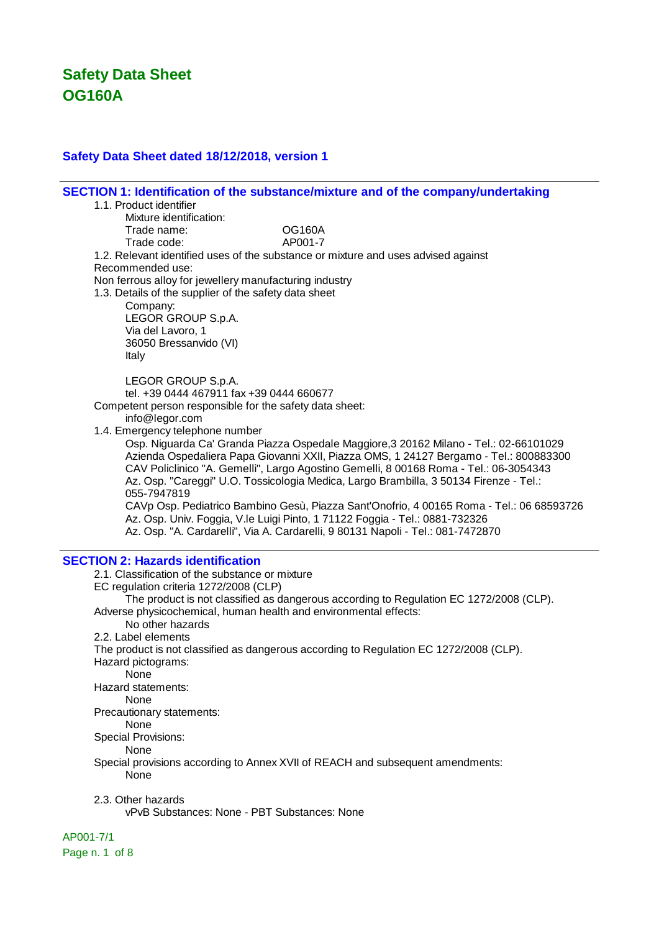### **Safety Data Sheet dated 18/12/2018, version 1**

**SECTION 1: Identification of the substance/mixture and of the company/undertaking** 1.1. Product identifier Mixture identification: Trade name: OG160A Trade code: AP001-7 1.2. Relevant identified uses of the substance or mixture and uses advised against Recommended use: Non ferrous alloy for jewellery manufacturing industry 1.3. Details of the supplier of the safety data sheet Company: LEGOR GROUP S.p.A. Via del Lavoro, 1 36050 Bressanvido (VI) Italy LEGOR GROUP S.p.A. tel. +39 0444 467911 fax +39 0444 660677 Competent person responsible for the safety data sheet: info@legor.com 1.4. Emergency telephone number Osp. Niguarda Ca' Granda Piazza Ospedale Maggiore,3 20162 Milano - Tel.: 02-66101029 Azienda Ospedaliera Papa Giovanni XXII, Piazza OMS, 1 24127 Bergamo - Tel.: 800883300 CAV Policlinico "A. Gemelli", Largo Agostino Gemelli, 8 00168 Roma - Tel.: 06-3054343 Az. Osp. "Careggi" U.O. Tossicologia Medica, Largo Brambilla, 3 50134 Firenze - Tel.: 055-7947819 CAVp Osp. Pediatrico Bambino Gesù, Piazza Sant'Onofrio, 4 00165 Roma - Tel.: 06 68593726 Az. Osp. Univ. Foggia, V.le Luigi Pinto, 1 71122 Foggia - Tel.: 0881-732326 Az. Osp. "A. Cardarelli", Via A. Cardarelli, 9 80131 Napoli - Tel.: 081-7472870 **SECTION 2: Hazards identification** 2.1. Classification of the substance or mixture EC regulation criteria 1272/2008 (CLP) The product is not classified as dangerous according to Regulation EC 1272/2008 (CLP). Adverse physicochemical, human health and environmental effects: No other hazards 2.2. Label elements The product is not classified as dangerous according to Regulation EC 1272/2008 (CLP). Hazard pictograms: None Hazard statements: None Precautionary statements: None Special Provisions: **None** Special provisions according to Annex XVII of REACH and subsequent amendments: None 2.3. Other hazards

vPvB Substances: None - PBT Substances: None

#### AP001-7/1

Page n. 1 of 8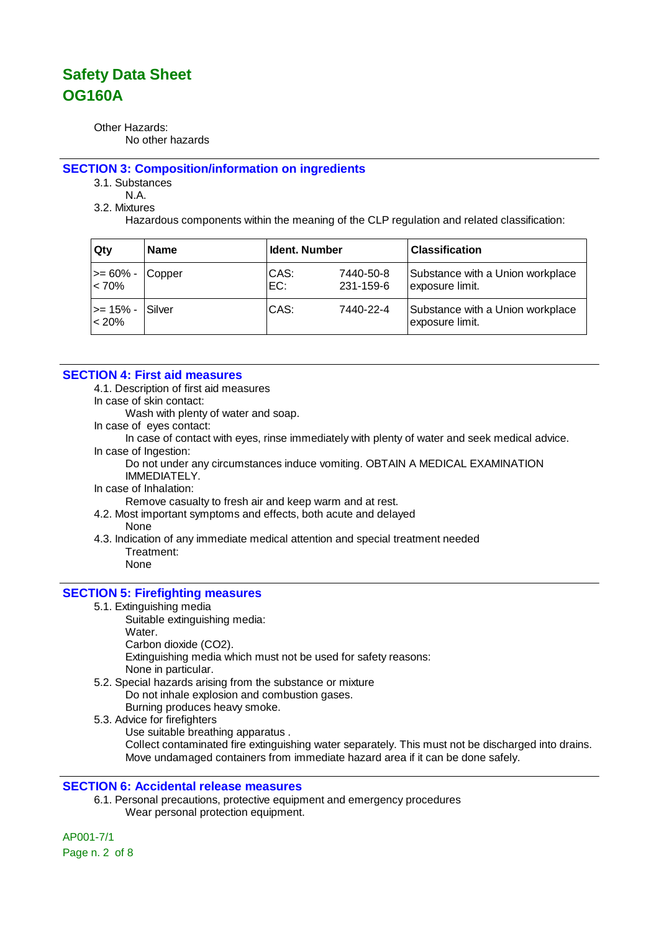Other Hazards: No other hazards

#### **SECTION 3: Composition/information on ingredients**

3.1. Substances

N.A.

3.2. Mixtures

Hazardous components within the meaning of the CLP regulation and related classification:

| Qty                      | <b>Name</b> | <b>Ident. Number</b> |                        | <b>Classification</b>                               |
|--------------------------|-------------|----------------------|------------------------|-----------------------------------------------------|
| $\mid$ >= 60% -<br>< 70% | Copper      | CAS:<br>EC:          | 7440-50-8<br>231-159-6 | Substance with a Union workplace<br>exposure limit. |
| l>= 15% -<br>$< 20\%$    | Silver      | CAS:                 | 7440-22-4              | Substance with a Union workplace<br>exposure limit. |

### **SECTION 4: First aid measures**

4.1. Description of first aid measures

In case of skin contact:

Wash with plenty of water and soap.

In case of eyes contact:

In case of contact with eyes, rinse immediately with plenty of water and seek medical advice. In case of Ingestion:

Do not under any circumstances induce vomiting. OBTAIN A MEDICAL EXAMINATION IMMEDIATELY.

In case of Inhalation:

Remove casualty to fresh air and keep warm and at rest.

- 4.2. Most important symptoms and effects, both acute and delayed
	- None
- 4.3. Indication of any immediate medical attention and special treatment needed Treatment: None

### **SECTION 5: Firefighting measures**

- 5.1. Extinguishing media
	- Suitable extinguishing media: Water. Carbon dioxide (CO2).

Extinguishing media which must not be used for safety reasons: None in particular.

- 5.2. Special hazards arising from the substance or mixture Do not inhale explosion and combustion gases. Burning produces heavy smoke.
- 5.3. Advice for firefighters
	- Use suitable breathing apparatus .

Collect contaminated fire extinguishing water separately. This must not be discharged into drains. Move undamaged containers from immediate hazard area if it can be done safely.

### **SECTION 6: Accidental release measures**

6.1. Personal precautions, protective equipment and emergency procedures Wear personal protection equipment.

AP001-7/1 Page n. 2 of 8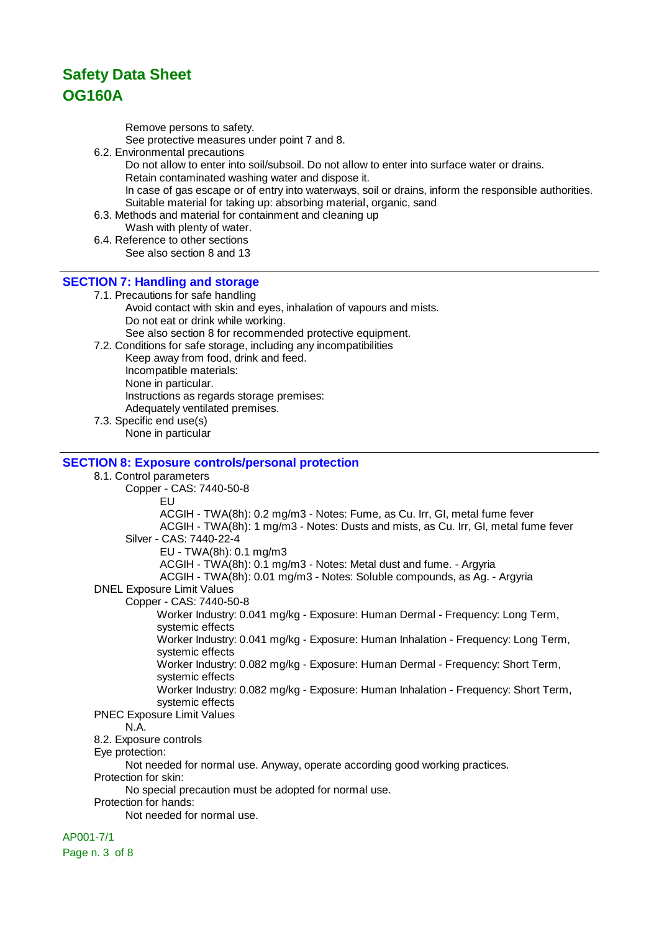Remove persons to safety.

See protective measures under point 7 and 8.

6.2. Environmental precautions

Do not allow to enter into soil/subsoil. Do not allow to enter into surface water or drains. Retain contaminated washing water and dispose it. In case of gas escape or of entry into waterways, soil or drains, inform the responsible authorities. Suitable material for taking up: absorbing material, organic, sand

- 6.3. Methods and material for containment and cleaning up
	- Wash with plenty of water.
- 6.4. Reference to other sections See also section 8 and 13

### **SECTION 7: Handling and storage**

7.1. Precautions for safe handling Avoid contact with skin and eyes, inhalation of vapours and mists. Do not eat or drink while working.

See also section 8 for recommended protective equipment.

7.2. Conditions for safe storage, including any incompatibilities Keep away from food, drink and feed. Incompatible materials: None in particular. Instructions as regards storage premises: Adequately ventilated premises.

7.3. Specific end use(s) None in particular

#### **SECTION 8: Exposure controls/personal protection**

8.1. Control parameters Copper - CAS: 7440-50-8 EU ACGIH - TWA(8h): 0.2 mg/m3 - Notes: Fume, as Cu. Irr, GI, metal fume fever ACGIH - TWA(8h): 1 mg/m3 - Notes: Dusts and mists, as Cu. Irr, GI, metal fume fever Silver - CAS: 7440-22-4 EU - TWA(8h): 0.1 mg/m3 ACGIH - TWA(8h): 0.1 mg/m3 - Notes: Metal dust and fume. - Argyria ACGIH - TWA(8h): 0.01 mg/m3 - Notes: Soluble compounds, as Ag. - Argyria DNEL Exposure Limit Values Copper - CAS: 7440-50-8 Worker Industry: 0.041 mg/kg - Exposure: Human Dermal - Frequency: Long Term, systemic effects Worker Industry: 0.041 mg/kg - Exposure: Human Inhalation - Frequency: Long Term, systemic effects Worker Industry: 0.082 mg/kg - Exposure: Human Dermal - Frequency: Short Term, systemic effects Worker Industry: 0.082 mg/kg - Exposure: Human Inhalation - Frequency: Short Term, systemic effects PNEC Exposure Limit Values N.A. 8.2. Exposure controls Eye protection: Not needed for normal use. Anyway, operate according good working practices. Protection for skin: No special precaution must be adopted for normal use. Protection for hands: Not needed for normal use.

### AP001-7/1

Page n. 3 of 8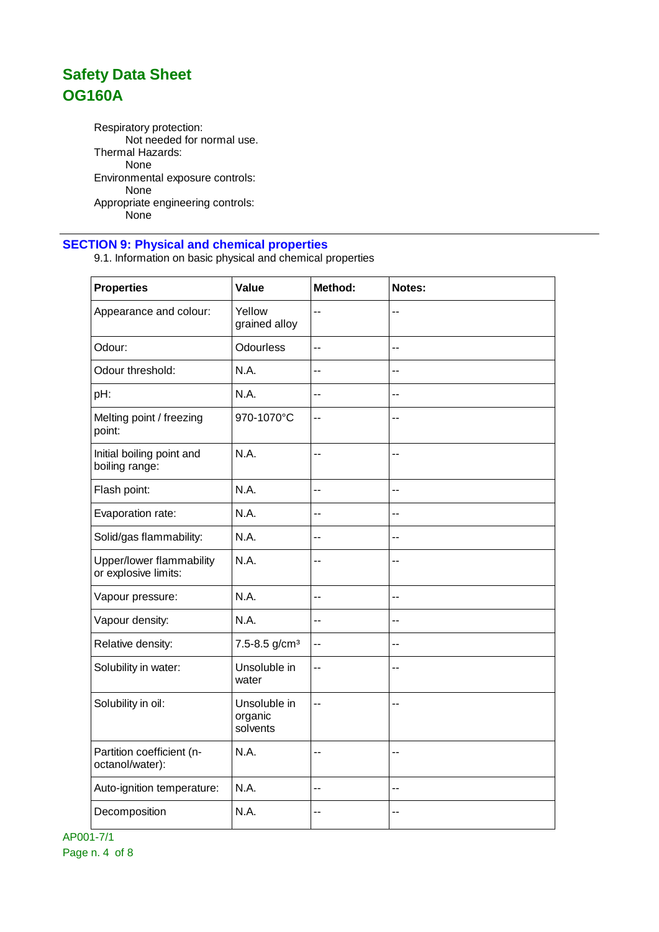Respiratory protection: Not needed for normal use. Thermal Hazards: None Environmental exposure controls: None Appropriate engineering controls: .<br>None

### **SECTION 9: Physical and chemical properties**

9.1. Information on basic physical and chemical properties

| <b>Properties</b>                                | Value                               | Method: | Notes:                   |
|--------------------------------------------------|-------------------------------------|---------|--------------------------|
| Appearance and colour:                           | Yellow<br>grained alloy             | --      | $-$                      |
| Odour:                                           | <b>Odourless</b>                    | $-$     | $-$                      |
| Odour threshold:                                 | N.A.                                | --      | --                       |
| pH:                                              | N.A.                                | $-$     | $\overline{a}$           |
| Melting point / freezing<br>point:               | 970-1070°C                          | $-$     | $\overline{a}$           |
| Initial boiling point and<br>boiling range:      | N.A.                                | $-$     | $\overline{\phantom{a}}$ |
| Flash point:                                     | N.A.                                | --      | $-$                      |
| Evaporation rate:                                | N.A.                                | --      | --                       |
| Solid/gas flammability:                          | N.A.                                | --      | $-$                      |
| Upper/lower flammability<br>or explosive limits: | N.A.                                | --      | $-$                      |
| Vapour pressure:                                 | N.A.                                | $-$     | $-$                      |
| Vapour density:                                  | N.A.                                | --      | $-$                      |
| Relative density:                                | $7.5 - 8.5$ g/cm <sup>3</sup>       | --      | $-$                      |
| Solubility in water:                             | Unsoluble in<br>water               | $-$     | $-$                      |
| Solubility in oil:                               | Unsoluble in<br>organic<br>solvents | --      | $-$                      |
| Partition coefficient (n-<br>octanol/water):     | N.A.                                | --      | $-$                      |
| Auto-ignition temperature:                       | N.A.                                | $-$     | $-$                      |
| Decomposition                                    | N.A.                                | --      | --                       |

AP001-7/1 Page n. 4 of 8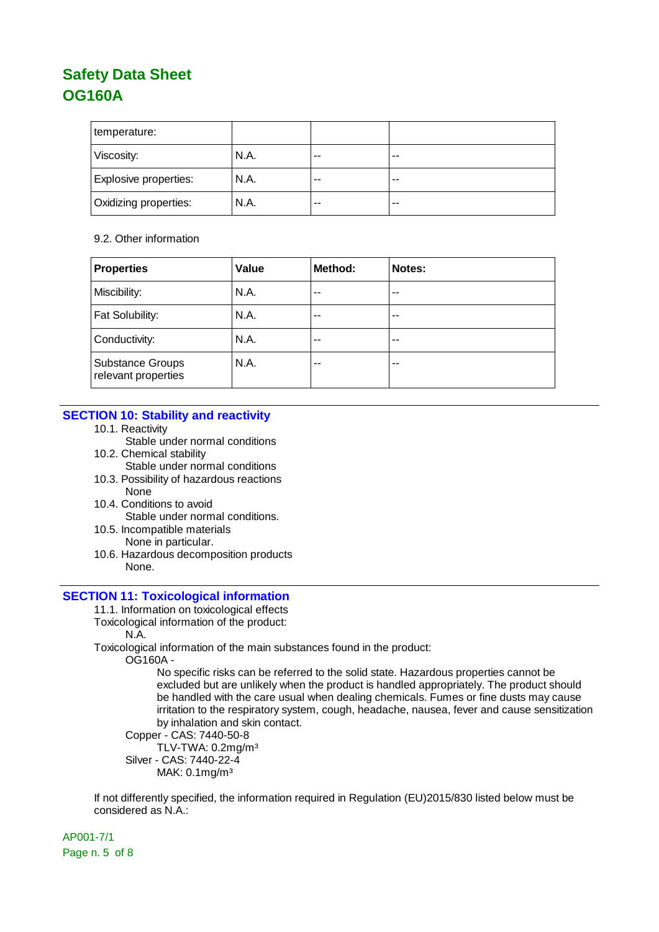| temperature:                 |      |    |       |
|------------------------------|------|----|-------|
| Viscosity:                   | N.A. | -- | $- -$ |
| Explosive properties:        | N.A. | -- | $-$   |
| <b>Oxidizing properties:</b> | N.A. | -- | $- -$ |

#### 9.2. Other information

| <b>Properties</b>                              | Value | Method: | Notes: |
|------------------------------------------------|-------|---------|--------|
| Miscibility:                                   | N.A.  | --      | --     |
| Fat Solubility:                                | N.A.  | $-$     | --     |
| Conductivity:                                  | N.A.  | --      | --     |
| <b>Substance Groups</b><br>relevant properties | N.A.  | --      | --     |

### **SECTION 10: Stability and reactivity**

- 10.1. Reactivity
	- Stable under normal conditions
- 10.2. Chemical stability Stable under normal conditions
- 10.3. Possibility of hazardous reactions None
- 10.4. Conditions to avoid Stable under normal conditions.
- 10.5. Incompatible materials None in particular.
- 10.6. Hazardous decomposition products None.

### **SECTION 11: Toxicological information**

- 11.1. Information on toxicological effects
- Toxicological information of the product:
	- N.A.
- Toxicological information of the main substances found in the product:

OG160A -

No specific risks can be referred to the solid state. Hazardous properties cannot be excluded but are unlikely when the product is handled appropriately. The product should be handled with the care usual when dealing chemicals. Fumes or fine dusts may cause irritation to the respiratory system, cough, headache, nausea, fever and cause sensitization by inhalation and skin contact.

```
Copper - CAS: 7440-50-8
```
TLV-TWA: 0.2mg/m³ Silver - CAS: 7440-22-4

MAK: 0.1mg/m³

If not differently specified, the information required in Regulation (EU)2015/830 listed below must be considered as N.A.:

AP001-7/1 Page n. 5 of 8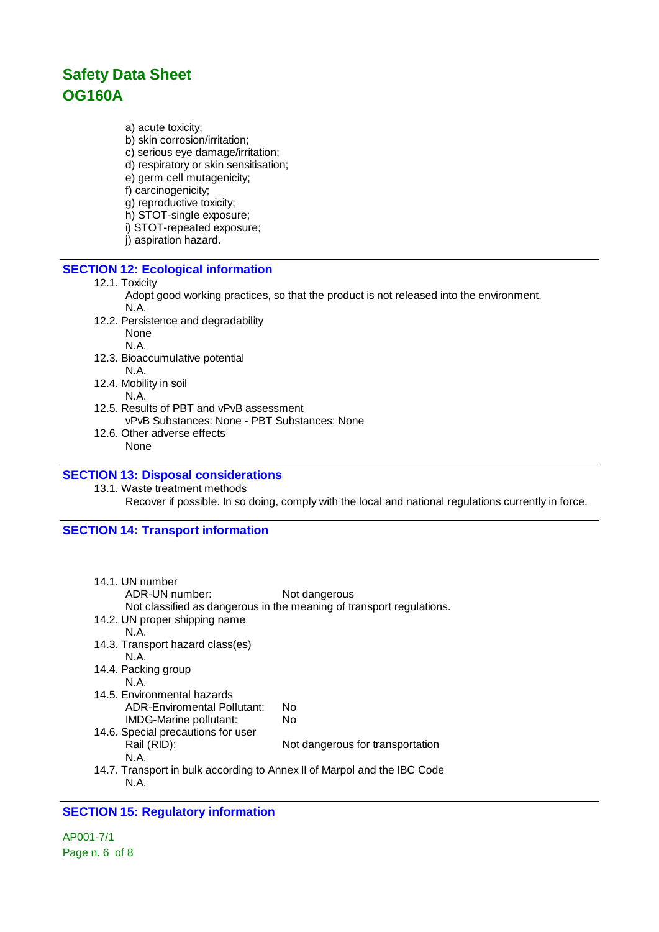a) acute toxicity;

- b) skin corrosion/irritation;
- c) serious eye damage/irritation;
- d) respiratory or skin sensitisation;
- e) germ cell mutagenicity;
- f) carcinogenicity;
- g) reproductive toxicity;
- h) STOT-single exposure;
- i) STOT-repeated exposure;
- j) aspiration hazard.

### **SECTION 12: Ecological information**

#### 12.1. Toxicity

- Adopt good working practices, so that the product is not released into the environment. N.A.
- 12.2. Persistence and degradability None N.A.
- 12.3. Bioaccumulative potential N.A.
- 12.4. Mobility in soil
- N.A. 12.5. Results of PBT and vPvB assessment
- vPvB Substances: None PBT Substances: None 12.6. Other adverse effects
	- None

### **SECTION 13: Disposal considerations**

13.1. Waste treatment methods Recover if possible. In so doing, comply with the local and national regulations currently in force.

### **SECTION 14: Transport information**

| 14.1. UN number<br>ADR-UN number:                                        | Not dangerous<br>Not classified as dangerous in the meaning of transport regulations. |
|--------------------------------------------------------------------------|---------------------------------------------------------------------------------------|
| 14.2. UN proper shipping name                                            |                                                                                       |
| N A                                                                      |                                                                                       |
| 14.3. Transport hazard class(es)<br>N.A.                                 |                                                                                       |
|                                                                          |                                                                                       |
| 14.4. Packing group                                                      |                                                                                       |
| N.A.                                                                     |                                                                                       |
| 14.5. Environmental hazards                                              |                                                                                       |
| ADR-Enviromental Pollutant:                                              | N٥                                                                                    |
| IMDG-Marine pollutant:                                                   | No                                                                                    |
| 14.6. Special precautions for user                                       |                                                                                       |
| Rail (RID):                                                              | Not dangerous for transportation                                                      |
| N.A.                                                                     |                                                                                       |
| 14.7. Transport in bulk according to Annex II of Marpol and the IBC Code |                                                                                       |
| N.A.                                                                     |                                                                                       |
|                                                                          |                                                                                       |

### **SECTION 15: Regulatory information**

AP001-7/1 Page n. 6 of 8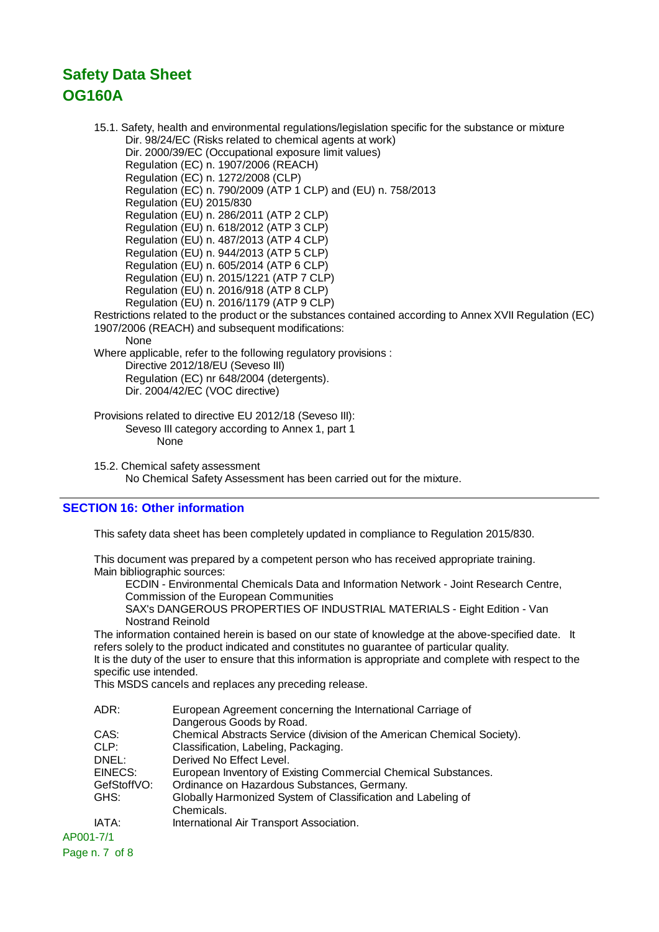15.1. Safety, health and environmental regulations/legislation specific for the substance or mixture Dir. 98/24/EC (Risks related to chemical agents at work) Dir. 2000/39/EC (Occupational exposure limit values) Regulation (EC) n. 1907/2006 (REACH) Regulation (EC) n. 1272/2008 (CLP) Regulation (EC) n. 790/2009 (ATP 1 CLP) and (EU) n. 758/2013 Regulation (EU) 2015/830 Regulation (EU) n. 286/2011 (ATP 2 CLP) Regulation (EU) n. 618/2012 (ATP 3 CLP) Regulation (EU) n. 487/2013 (ATP 4 CLP) Regulation (EU) n. 944/2013 (ATP 5 CLP) Regulation (EU) n. 605/2014 (ATP 6 CLP) Regulation (EU) n. 2015/1221 (ATP 7 CLP) Regulation (EU) n. 2016/918 (ATP 8 CLP) Regulation (EU) n. 2016/1179 (ATP 9 CLP) Restrictions related to the product or the substances contained according to Annex XVII Regulation (EC) 1907/2006 (REACH) and subsequent modifications: **None** Where applicable, refer to the following regulatory provisions : Directive 2012/18/EU (Seveso III) Regulation (EC) nr 648/2004 (detergents). Dir. 2004/42/EC (VOC directive) Provisions related to directive EU 2012/18 (Seveso III): Seveso III category according to Annex 1, part 1 None

15.2. Chemical safety assessment No Chemical Safety Assessment has been carried out for the mixture.

### **SECTION 16: Other information**

This safety data sheet has been completely updated in compliance to Regulation 2015/830.

This document was prepared by a competent person who has received appropriate training. Main bibliographic sources:

ECDIN - Environmental Chemicals Data and Information Network - Joint Research Centre, Commission of the European Communities

SAX's DANGEROUS PROPERTIES OF INDUSTRIAL MATERIALS - Eight Edition - Van Nostrand Reinold

The information contained herein is based on our state of knowledge at the above-specified date. It refers solely to the product indicated and constitutes no guarantee of particular quality. It is the duty of the user to ensure that this information is appropriate and complete with respect to the

specific use intended.

This MSDS cancels and replaces any preceding release.

|           | ADR:        | European Agreement concerning the International Carriage of             |
|-----------|-------------|-------------------------------------------------------------------------|
|           |             | Dangerous Goods by Road.                                                |
|           | CAS:        | Chemical Abstracts Service (division of the American Chemical Society). |
|           | CLP:        | Classification, Labeling, Packaging.                                    |
|           | DNEL:       | Derived No Effect Level.                                                |
|           | EINECS:     | European Inventory of Existing Commercial Chemical Substances.          |
|           | GefStoffVO: | Ordinance on Hazardous Substances, Germany.                             |
|           | GHS:        | Globally Harmonized System of Classification and Labeling of            |
|           |             | Chemicals.                                                              |
|           | IATA:       | International Air Transport Association.                                |
| AP001-7/1 |             |                                                                         |

Page n. 7 of 8